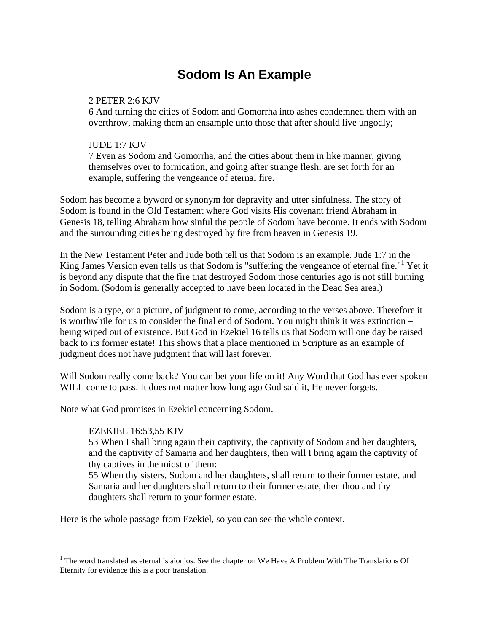# **Sodom Is An Example**

## 2 PETER 2:6 KJV

6 And turning the cities of Sodom and Gomorrha into ashes condemned them with an overthrow, making them an ensample unto those that after should live ungodly;

## JUDE 1:7 KJV

7 Even as Sodom and Gomorrha, and the cities about them in like manner, giving themselves over to fornication, and going after strange flesh, are set forth for an example, suffering the vengeance of eternal fire.

Sodom has become a byword or synonym for depravity and utter sinfulness. The story of Sodom is found in the Old Testament where God visits His covenant friend Abraham in Genesis 18, telling Abraham how sinful the people of Sodom have become. It ends with Sodom and the surrounding cities being destroyed by fire from heaven in Genesis 19.

In the New Testament Peter and Jude both tell us that Sodom is an example. Jude 1:7 in the King James Version even tells us that Sodom is "suffering the vengeance of eternal fire."<sup>1</sup> Yet it is beyond any dispute that the fire that destroyed Sodom those centuries ago is not still burning in Sodom. (Sodom is generally accepted to have been located in the Dead Sea area.)

Sodom is a type, or a picture, of judgment to come, according to the verses above. Therefore it is worthwhile for us to consider the final end of Sodom. You might think it was extinction – being wiped out of existence. But God in Ezekiel 16 tells us that Sodom will one day be raised back to its former estate! This shows that a place mentioned in Scripture as an example of judgment does not have judgment that will last forever.

Will Sodom really come back? You can bet your life on it! Any Word that God has ever spoken WILL come to pass. It does not matter how long ago God said it, He never forgets.

Note what God promises in Ezekiel concerning Sodom.

#### EZEKIEL 16:53,55 KJV

 $\overline{a}$ 

53 When I shall bring again their captivity, the captivity of Sodom and her daughters, and the captivity of Samaria and her daughters, then will I bring again the captivity of thy captives in the midst of them:

55 When thy sisters, Sodom and her daughters, shall return to their former estate, and Samaria and her daughters shall return to their former estate, then thou and thy daughters shall return to your former estate.

Here is the whole passage from Ezekiel, so you can see the whole context.

 $<sup>1</sup>$  The word translated as eternal is aionios. See the chapter on We Have A Problem With The Translations Of</sup> Eternity for evidence this is a poor translation.